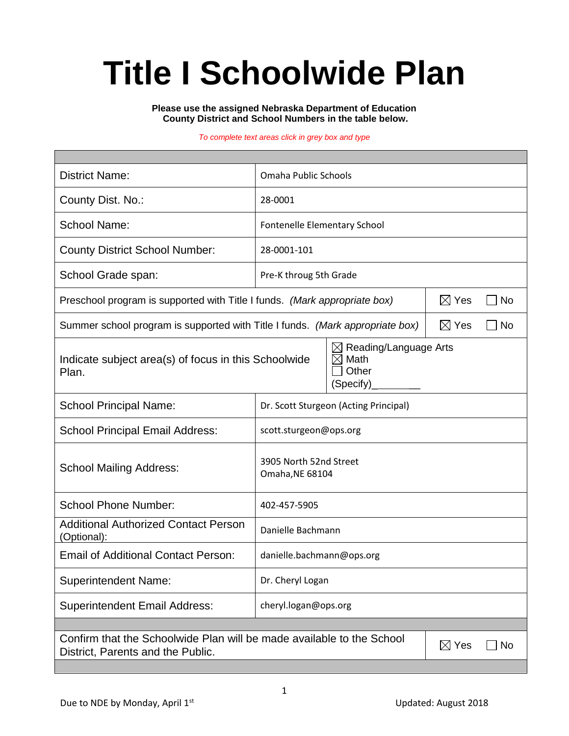# **Title I Schoolwide Plan**

**Please use the assigned Nebraska Department of Education County District and School Numbers in the table below.**

#### *To complete text areas click in grey box and type*

| <b>District Name:</b>                                                                                                                    | Omaha Public Schools                      |  |  |  |  |
|------------------------------------------------------------------------------------------------------------------------------------------|-------------------------------------------|--|--|--|--|
| County Dist. No.:                                                                                                                        | 28-0001                                   |  |  |  |  |
| <b>School Name:</b>                                                                                                                      | Fontenelle Elementary School              |  |  |  |  |
| <b>County District School Number:</b>                                                                                                    | 28-0001-101                               |  |  |  |  |
| School Grade span:                                                                                                                       | Pre-K throug 5th Grade                    |  |  |  |  |
| Preschool program is supported with Title I funds. (Mark appropriate box)                                                                | $\boxtimes$ Yes<br>No                     |  |  |  |  |
| $\boxtimes$ Yes<br>Summer school program is supported with Title I funds. (Mark appropriate box)                                         |                                           |  |  |  |  |
| Reading/Language Arts<br>$\boxtimes$<br>Math<br>Indicate subject area(s) of focus in this Schoolwide<br>⋉<br>Other<br>Plan.<br>(Specify) |                                           |  |  |  |  |
| <b>School Principal Name:</b>                                                                                                            | Dr. Scott Sturgeon (Acting Principal)     |  |  |  |  |
| <b>School Principal Email Address:</b>                                                                                                   | scott.sturgeon@ops.org                    |  |  |  |  |
| <b>School Mailing Address:</b>                                                                                                           | 3905 North 52nd Street<br>Omaha, NE 68104 |  |  |  |  |
| <b>School Phone Number:</b>                                                                                                              | 402-457-5905                              |  |  |  |  |
| <b>Additional Authorized Contact Person</b><br>(Optional):                                                                               | Danielle Bachmann                         |  |  |  |  |
| <b>Email of Additional Contact Person:</b>                                                                                               | danielle.bachmann@ops.org                 |  |  |  |  |
| <b>Superintendent Name:</b>                                                                                                              | Dr. Cheryl Logan                          |  |  |  |  |
| <b>Superintendent Email Address:</b>                                                                                                     | cheryl.logan@ops.org                      |  |  |  |  |
|                                                                                                                                          |                                           |  |  |  |  |
| Confirm that the Schoolwide Plan will be made available to the School<br>$\boxtimes$ Yes<br>No<br>District, Parents and the Public.      |                                           |  |  |  |  |
|                                                                                                                                          |                                           |  |  |  |  |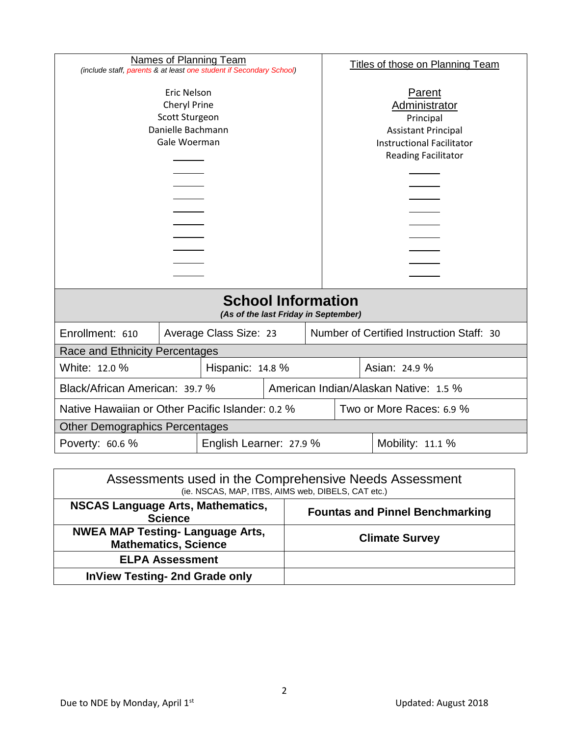| <b>Names of Planning Team</b><br>(include staff, parents & at least one student if Secondary School) |  |                        |                                                                                                                                      | <b>Titles of those on Planning Team</b> |                                           |  |  |
|------------------------------------------------------------------------------------------------------|--|------------------------|--------------------------------------------------------------------------------------------------------------------------------------|-----------------------------------------|-------------------------------------------|--|--|
| <b>Eric Nelson</b><br>Cheryl Prine<br>Scott Sturgeon<br>Danielle Bachmann<br>Gale Woerman            |  |                        | Parent<br>Administrator<br>Principal<br><b>Assistant Principal</b><br><b>Instructional Facilitator</b><br><b>Reading Facilitator</b> |                                         |                                           |  |  |
| <b>School Information</b><br>(As of the last Friday in September)                                    |  |                        |                                                                                                                                      |                                         |                                           |  |  |
| Enrollment: 610                                                                                      |  | Average Class Size: 23 |                                                                                                                                      |                                         | Number of Certified Instruction Staff: 30 |  |  |
| Race and Ethnicity Percentages                                                                       |  |                        |                                                                                                                                      |                                         |                                           |  |  |
| White: 12.0 %<br>Hispanic: 14.8 %                                                                    |  |                        | Asian: 24.9 %                                                                                                                        |                                         |                                           |  |  |
| Black/African American: 39.7 %                                                                       |  |                        |                                                                                                                                      | American Indian/Alaskan Native: 1.5 %   |                                           |  |  |
| Native Hawaiian or Other Pacific Islander: 0.2 %                                                     |  |                        |                                                                                                                                      | Two or More Races: 6.9 %                |                                           |  |  |
| <b>Other Demographics Percentages</b>                                                                |  |                        |                                                                                                                                      |                                         |                                           |  |  |
| Poverty: 60.6 %<br>English Learner: 27.9 %                                                           |  |                        |                                                                                                                                      |                                         | Mobility: 11.1 %                          |  |  |
|                                                                                                      |  |                        |                                                                                                                                      |                                         |                                           |  |  |

| Assessments used in the Comprehensive Needs Assessment<br>(ie. NSCAS, MAP, ITBS, AIMS web, DIBELS, CAT etc.) |                                        |  |  |  |
|--------------------------------------------------------------------------------------------------------------|----------------------------------------|--|--|--|
| <b>NSCAS Language Arts, Mathematics,</b><br><b>Science</b>                                                   | <b>Fountas and Pinnel Benchmarking</b> |  |  |  |
| <b>NWEA MAP Testing- Language Arts,</b><br><b>Mathematics, Science</b>                                       | <b>Climate Survey</b>                  |  |  |  |
| <b>ELPA Assessment</b>                                                                                       |                                        |  |  |  |
| <b>InView Testing- 2nd Grade only</b>                                                                        |                                        |  |  |  |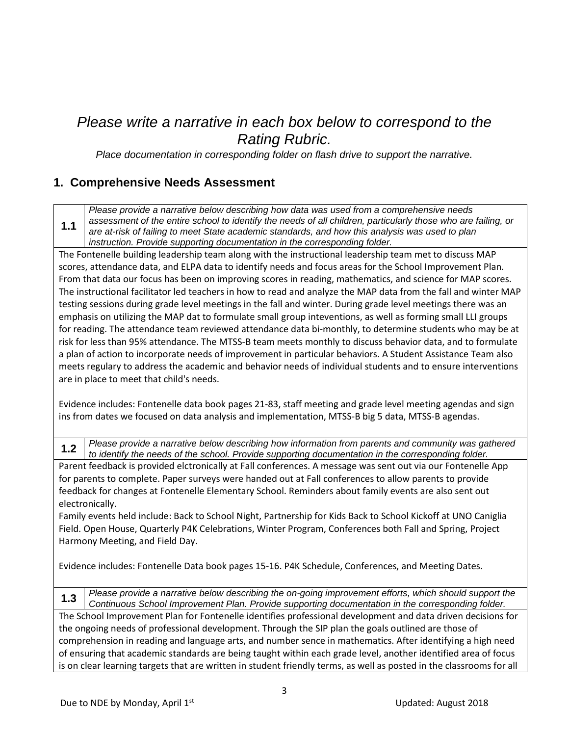## *Please write a narrative in each box below to correspond to the Rating Rubric.*

*Place documentation in corresponding folder on flash drive to support the narrative.*

#### **1. Comprehensive Needs Assessment**

**1.1** *Please provide a narrative below describing how data was used from a comprehensive needs assessment of the entire school to identify the needs of all children, particularly those who are failing, or are at-risk of failing to meet State academic standards, and how this analysis was used to plan instruction. Provide supporting documentation in the corresponding folder.*

The Fontenelle building leadership team along with the instructional leadership team met to discuss MAP scores, attendance data, and ELPA data to identify needs and focus areas for the School Improvement Plan. From that data our focus has been on improving scores in reading, mathematics, and science for MAP scores. The instructional facilitator led teachers in how to read and analyze the MAP data from the fall and winter MAP testing sessions during grade level meetings in the fall and winter. During grade level meetings there was an emphasis on utilizing the MAP dat to formulate small group inteventions, as well as forming small LLI groups for reading. The attendance team reviewed attendance data bi-monthly, to determine students who may be at risk for less than 95% attendance. The MTSS-B team meets monthly to discuss behavior data, and to formulate a plan of action to incorporate needs of improvement in particular behaviors. A Student Assistance Team also meets regulary to address the academic and behavior needs of individual students and to ensure interventions are in place to meet that child's needs.

Evidence includes: Fontenelle data book pages 21-83, staff meeting and grade level meeting agendas and sign ins from dates we focused on data analysis and implementation, MTSS-B big 5 data, MTSS-B agendas.

**1.2** *Please provide a narrative below describing how information from parents and community was gathered to identify the needs of the school. Provide supporting documentation in the corresponding folder.*

Parent feedback is provided elctronically at Fall conferences. A message was sent out via our Fontenelle App for parents to complete. Paper surveys were handed out at Fall conferences to allow parents to provide feedback for changes at Fontenelle Elementary School. Reminders about family events are also sent out electronically.

Family events held include: Back to School Night, Partnership for Kids Back to School Kickoff at UNO Caniglia Field. Open House, Quarterly P4K Celebrations, Winter Program, Conferences both Fall and Spring, Project Harmony Meeting, and Field Day.

Evidence includes: Fontenelle Data book pages 15-16. P4K Schedule, Conferences, and Meeting Dates.

**1.3** *Please provide a narrative below describing the on-going improvement efforts, which should support the Continuous School Improvement Plan. Provide supporting documentation in the corresponding folder.* The School Improvement Plan for Fontenelle identifies professional development and data driven decisions for the ongoing needs of professional development. Through the SIP plan the goals outlined are those of comprehension in reading and language arts, and number sence in mathematics. After identifying a high need of ensuring that academic standards are being taught within each grade level, another identified area of focus is on clear learning targets that are written in student friendly terms, as well as posted in the classrooms for all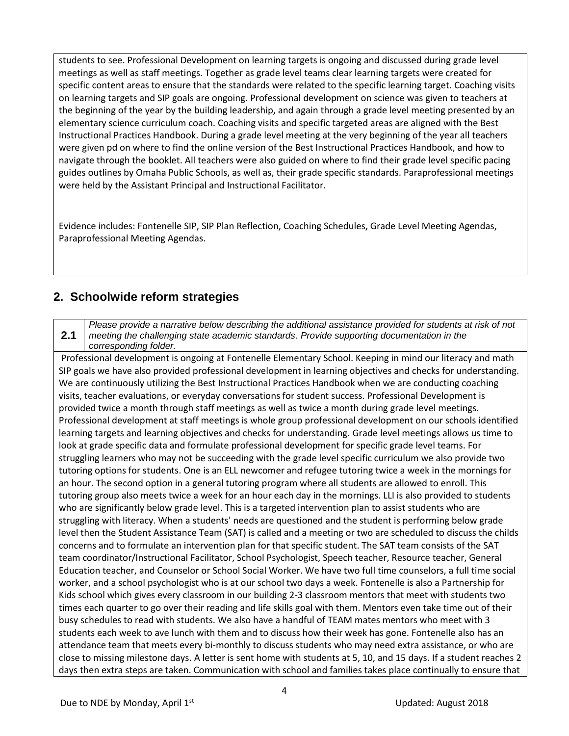students to see. Professional Development on learning targets is ongoing and discussed during grade level meetings as well as staff meetings. Together as grade level teams clear learning targets were created for specific content areas to ensure that the standards were related to the specific learning target. Coaching visits on learning targets and SIP goals are ongoing. Professional development on science was given to teachers at the beginning of the year by the building leadership, and again through a grade level meeting presented by an elementary science curriculum coach. Coaching visits and specific targeted areas are aligned with the Best Instructional Practices Handbook. During a grade level meeting at the very beginning of the year all teachers were given pd on where to find the online version of the Best Instructional Practices Handbook, and how to navigate through the booklet. All teachers were also guided on where to find their grade level specific pacing guides outlines by Omaha Public Schools, as well as, their grade specific standards. Paraprofessional meetings were held by the Assistant Principal and Instructional Facilitator.

Evidence includes: Fontenelle SIP, SIP Plan Reflection, Coaching Schedules, Grade Level Meeting Agendas, Paraprofessional Meeting Agendas.

#### **2. Schoolwide reform strategies**

**2.1** *Please provide a narrative below describing the additional assistance provided for students at risk of not meeting the challenging state academic standards. Provide supporting documentation in the corresponding folder.*

Professional development is ongoing at Fontenelle Elementary School. Keeping in mind our literacy and math SIP goals we have also provided professional development in learning objectives and checks for understanding. We are continuously utilizing the Best Instructional Practices Handbook when we are conducting coaching visits, teacher evaluations, or everyday conversations for student success. Professional Development is provided twice a month through staff meetings as well as twice a month during grade level meetings. Professional development at staff meetings is whole group professional development on our schools identified learning targets and learning objectives and checks for understanding. Grade level meetings allows us time to look at grade specific data and formulate professional development for specific grade level teams. For struggling learners who may not be succeeding with the grade level specific curriculum we also provide two tutoring options for students. One is an ELL newcomer and refugee tutoring twice a week in the mornings for an hour. The second option in a general tutoring program where all students are allowed to enroll. This tutoring group also meets twice a week for an hour each day in the mornings. LLI is also provided to students who are significantly below grade level. This is a targeted intervention plan to assist students who are struggling with literacy. When a students' needs are questioned and the student is performing below grade level then the Student Assistance Team (SAT) is called and a meeting or two are scheduled to discuss the childs concerns and to formulate an intervention plan for that specific student. The SAT team consists of the SAT team coordinator/Instructional Facilitator, School Psychologist, Speech teacher, Resource teacher, General Education teacher, and Counselor or School Social Worker. We have two full time counselors, a full time social worker, and a school psychologist who is at our school two days a week. Fontenelle is also a Partnership for Kids school which gives every classroom in our building 2-3 classroom mentors that meet with students two times each quarter to go over their reading and life skills goal with them. Mentors even take time out of their busy schedules to read with students. We also have a handful of TEAM mates mentors who meet with 3 students each week to ave lunch with them and to discuss how their week has gone. Fontenelle also has an attendance team that meets every bi-monthly to discuss students who may need extra assistance, or who are close to missing milestone days. A letter is sent home with students at 5, 10, and 15 days. If a student reaches 2 days then extra steps are taken. Communication with school and families takes place continually to ensure that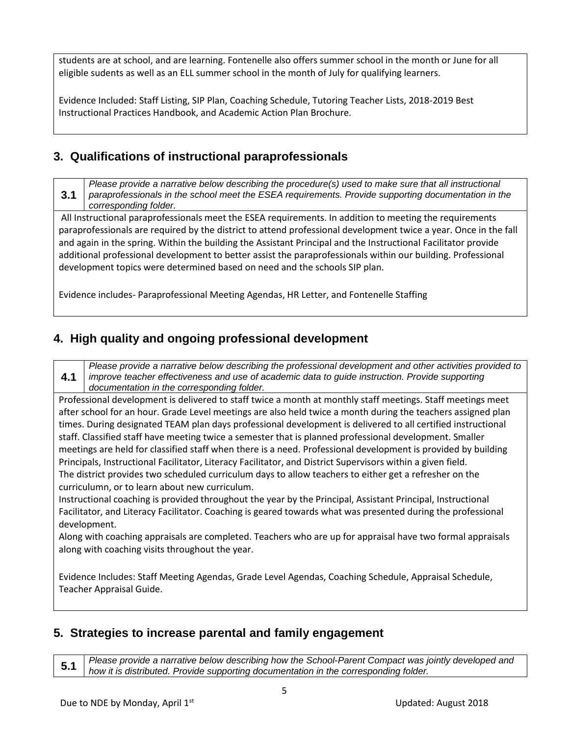students are at school, and are learning. Fontenelle also offers summer school in the month or June for all eligible sudents as well as an ELL summer school in the month of July for qualifying learners.

Evidence Included: Staff Listing, SIP Plan, Coaching Schedule, Tutoring Teacher Lists, 2018-2019 Best Instructional Practices Handbook, and Academic Action Plan Brochure.

#### **3. Qualifications of instructional paraprofessionals**

**3.1** *Please provide a narrative below describing the procedure(s) used to make sure that all instructional paraprofessionals in the school meet the ESEA requirements. Provide supporting documentation in the corresponding folder.*

All Instructional paraprofessionals meet the ESEA requirements. In addition to meeting the requirements paraprofessionals are required by the district to attend professional development twice a year. Once in the fall and again in the spring. Within the building the Assistant Principal and the Instructional Facilitator provide additional professional development to better assist the paraprofessionals within our building. Professional development topics were determined based on need and the schools SIP plan.

Evidence includes- Paraprofessional Meeting Agendas, HR Letter, and Fontenelle Staffing

### **4. High quality and ongoing professional development**

**4.1** *Please provide a narrative below describing the professional development and other activities provided to improve teacher effectiveness and use of academic data to guide instruction. Provide supporting documentation in the corresponding folder.*

Professional development is delivered to staff twice a month at monthly staff meetings. Staff meetings meet after school for an hour. Grade Level meetings are also held twice a month during the teachers assigned plan times. During designated TEAM plan days professional development is delivered to all certified instructional staff. Classified staff have meeting twice a semester that is planned professional development. Smaller meetings are held for classified staff when there is a need. Professional development is provided by building Principals, Instructional Facilitator, Literacy Facilitator, and District Supervisors within a given field. The district provides two scheduled curriculum days to allow teachers to either get a refresher on the curriculumn, or to learn about new curriculum.

Instructional coaching is provided throughout the year by the Principal, Assistant Principal, Instructional Facilitator, and Literacy Facilitator. Coaching is geared towards what was presented during the professional development.

Along with coaching appraisals are completed. Teachers who are up for appraisal have two formal appraisals along with coaching visits throughout the year.

Evidence Includes: Staff Meeting Agendas, Grade Level Agendas, Coaching Schedule, Appraisal Schedule, Teacher Appraisal Guide.

### **5. Strategies to increase parental and family engagement**

**5.1** *Please provide a narrative below describing how the School-Parent Compact was jointly developed and how it is distributed. Provide supporting documentation in the corresponding folder.*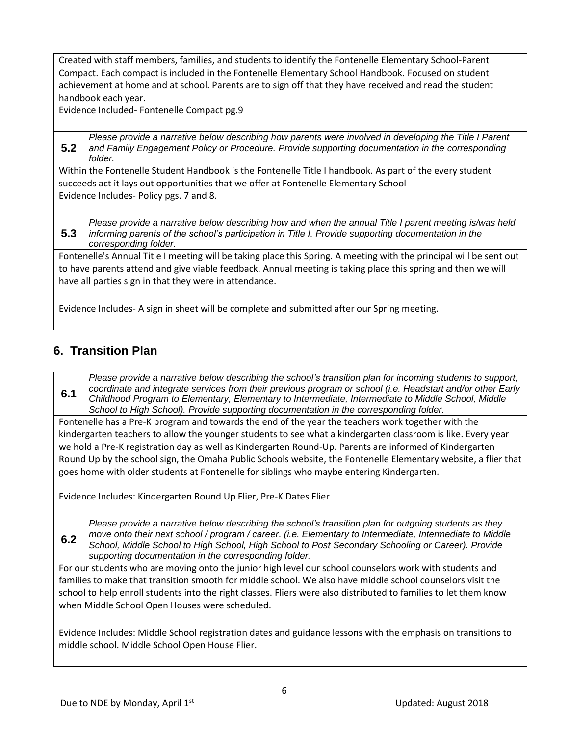Created with staff members, families, and students to identify the Fontenelle Elementary School-Parent Compact. Each compact is included in the Fontenelle Elementary School Handbook. Focused on student achievement at home and at school. Parents are to sign off that they have received and read the student handbook each year.

Evidence Included- Fontenelle Compact pg.9

**5.2** *Please provide a narrative below describing how parents were involved in developing the Title I Parent and Family Engagement Policy or Procedure. Provide supporting documentation in the corresponding folder.*

Within the Fontenelle Student Handbook is the Fontenelle Title I handbook. As part of the every student succeeds act it lays out opportunities that we offer at Fontenelle Elementary School Evidence Includes- Policy pgs. 7 and 8.

**5.3** *Please provide a narrative below describing how and when the annual Title I parent meeting is/was held informing parents of the school's participation in Title I. Provide supporting documentation in the corresponding folder.*

Fontenelle's Annual Title I meeting will be taking place this Spring. A meeting with the principal will be sent out to have parents attend and give viable feedback. Annual meeting is taking place this spring and then we will have all parties sign in that they were in attendance.

Evidence Includes- A sign in sheet will be complete and submitted after our Spring meeting.

### **6. Transition Plan**

**6.1** *Please provide a narrative below describing the school's transition plan for incoming students to support, coordinate and integrate services from their previous program or school (i.e. Headstart and/or other Early Childhood Program to Elementary, Elementary to Intermediate, Intermediate to Middle School, Middle School to High School). Provide supporting documentation in the corresponding folder.*

Fontenelle has a Pre-K program and towards the end of the year the teachers work together with the kindergarten teachers to allow the younger students to see what a kindergarten classroom is like. Every year we hold a Pre-K registration day as well as Kindergarten Round-Up. Parents are informed of Kindergarten Round Up by the school sign, the Omaha Public Schools website, the Fontenelle Elementary website, a flier that goes home with older students at Fontenelle for siblings who maybe entering Kindergarten.

Evidence Includes: Kindergarten Round Up Flier, Pre-K Dates Flier

**6.2** *Please provide a narrative below describing the school's transition plan for outgoing students as they move onto their next school / program / career. (i.e. Elementary to Intermediate, Intermediate to Middle School, Middle School to High School, High School to Post Secondary Schooling or Career). Provide supporting documentation in the corresponding folder.*

For our students who are moving onto the junior high level our school counselors work with students and families to make that transition smooth for middle school. We also have middle school counselors visit the school to help enroll students into the right classes. Fliers were also distributed to families to let them know when Middle School Open Houses were scheduled.

Evidence Includes: Middle School registration dates and guidance lessons with the emphasis on transitions to middle school. Middle School Open House Flier.